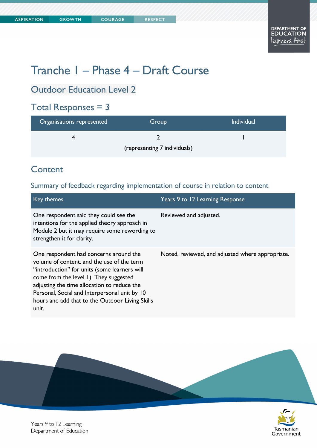# Tranche 1 – Phase 4 – Draft Course

Outdoor Education Level 2

# Total Responses = 3

| Organisations represented    | Group | <b>Individual</b> |
|------------------------------|-------|-------------------|
|                              |       |                   |
| (representing 7 individuals) |       |                   |

# **Content**

### Summary of feedback regarding implementation of course in relation to content

| Key themes                                                                                                                                                                                                                                                                                                                                 | Years 9 to 12 Learning Response                  |
|--------------------------------------------------------------------------------------------------------------------------------------------------------------------------------------------------------------------------------------------------------------------------------------------------------------------------------------------|--------------------------------------------------|
| One respondent said they could see the<br>intentions for the applied theory approach in<br>Module 2 but it may require some rewording to<br>strengthen it for clarity.                                                                                                                                                                     | Reviewed and adjusted.                           |
| One respondent had concerns around the<br>volume of content, and the use of the term<br>"introduction" for units (some learners will<br>come from the level 1). They suggested<br>adjusting the time allocation to reduce the<br>Personal, Social and Interpersonal unit by 10<br>hours and add that to the Outdoor Living Skills<br>unit. | Noted, reviewed, and adjusted where appropriate. |



Years 9 to 12 Learning Department of Education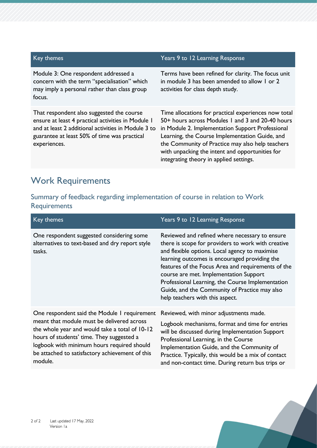| Key themes                                                                                                                                                                                                             | Years 9 to 12 Learning Response                                                                                                                                                                                                                                                                                                                                  |
|------------------------------------------------------------------------------------------------------------------------------------------------------------------------------------------------------------------------|------------------------------------------------------------------------------------------------------------------------------------------------------------------------------------------------------------------------------------------------------------------------------------------------------------------------------------------------------------------|
| Module 3: One respondent addressed a<br>concern with the term "specialisation" which<br>may imply a personal rather than class group<br>focus.                                                                         | Terms have been refined for clarity. The focus unit<br>in module 3 has been amended to allow 1 or 2<br>activities for class depth study.                                                                                                                                                                                                                         |
| That respondent also suggested the course<br>ensure at least 4 practical activities in Module 1<br>and at least 2 additional activities in Module 3 to<br>guarantee at least 50% of time was practical<br>experiences. | Time allocations for practical experiences now total<br>50+ hours across Modules 1 and 3 and 20-40 hours<br>in Module 2. Implementation Support Professional<br>Learning, the Course Implementation Guide, and<br>the Community of Practice may also help teachers<br>with unpacking the intent and opportunities for<br>integrating theory in applied settings. |

# Work Requirements

## Summary of feedback regarding implementation of course in relation to Work **Requirements**

| Key themes                                                                                                                                                                                                                                                                                            | Years 9 to 12 Learning Response                                                                                                                                                                                                                                                                                                                                                                                                                 |
|-------------------------------------------------------------------------------------------------------------------------------------------------------------------------------------------------------------------------------------------------------------------------------------------------------|-------------------------------------------------------------------------------------------------------------------------------------------------------------------------------------------------------------------------------------------------------------------------------------------------------------------------------------------------------------------------------------------------------------------------------------------------|
| One respondent suggested considering some<br>alternatives to text-based and dry report style<br>tasks.                                                                                                                                                                                                | Reviewed and refined where necessary to ensure<br>there is scope for providers to work with creative<br>and flexible options. Local agency to maximise<br>learning outcomes is encouraged providing the<br>features of the Focus Area and requirements of the<br>course are met. Implementation Support<br>Professional Learning, the Course Implementation<br>Guide, and the Community of Practice may also<br>help teachers with this aspect. |
| One respondent said the Module I requirement<br>meant that module must be delivered across<br>the whole year and would take a total of 10-12<br>hours of students' time. They suggested a<br>logbook with minimum hours required should<br>be attached to satisfactory achievement of this<br>module. | Reviewed, with minor adjustments made.<br>Logbook mechanisms, format and time for entries<br>will be discussed during Implementation Support<br>Professional Learning, in the Course<br>Implementation Guide, and the Community of<br>Practice. Typically, this would be a mix of contact<br>and non-contact time. During return bus trips or                                                                                                   |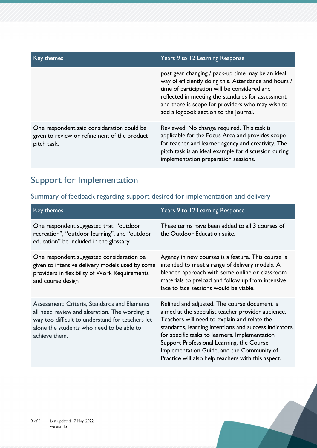| Key themes                                                                                                | Years 9 to 12 Learning Response                                                                                                                                                                                                                                                                              |
|-----------------------------------------------------------------------------------------------------------|--------------------------------------------------------------------------------------------------------------------------------------------------------------------------------------------------------------------------------------------------------------------------------------------------------------|
|                                                                                                           | post gear changing / pack-up time may be an ideal<br>way of efficiently doing this. Attendance and hours /<br>time of participation will be considered and<br>reflected in meeting the standards for assessment<br>and there is scope for providers who may wish to<br>add a logbook section to the journal. |
| One respondent said consideration could be<br>given to review or refinement of the product<br>pitch task. | Reviewed. No change required. This task is<br>applicable for the Focus Area and provides scope<br>for teacher and learner agency and creativity. The<br>pitch task is an ideal example for discussion during<br>implementation preparation sessions.                                                         |

# Support for Implementation

## Summary of feedback regarding support desired for implementation and delivery

| Key themes                                                                                                                                                                                                       | Years 9 to 12 Learning Response                                                                                                                                                                                                                                                                                                                                                                                |
|------------------------------------------------------------------------------------------------------------------------------------------------------------------------------------------------------------------|----------------------------------------------------------------------------------------------------------------------------------------------------------------------------------------------------------------------------------------------------------------------------------------------------------------------------------------------------------------------------------------------------------------|
| One respondent suggested that: "outdoor<br>recreation", "outdoor learning", and "outdoor<br>education" be included in the glossary                                                                               | These terms have been added to all 3 courses of<br>the Outdoor Education suite.                                                                                                                                                                                                                                                                                                                                |
| One respondent suggested consideration be<br>given to intensive delivery models used by some<br>providers in flexibility of Work Requirements<br>and course design                                               | Agency in new courses is a feature. This course is<br>intended to meet a range of delivery models. A<br>blended approach with some online or classroom<br>materials to preload and follow up from intensive<br>face to face sessions would be viable.                                                                                                                                                          |
| Assessment: Criteria, Standards and Elements<br>all need review and alteration. The wording is<br>way too difficult to understand for teachers let<br>alone the students who need to be able to<br>achieve them. | Refined and adjusted. The course document is<br>aimed at the specialist teacher provider audience.<br>Teachers will need to explain and relate the<br>standards, learning intentions and success indicators<br>for specific tasks to learners. Implementation<br>Support Professional Learning, the Course<br>Implementation Guide, and the Community of<br>Practice will also help teachers with this aspect. |